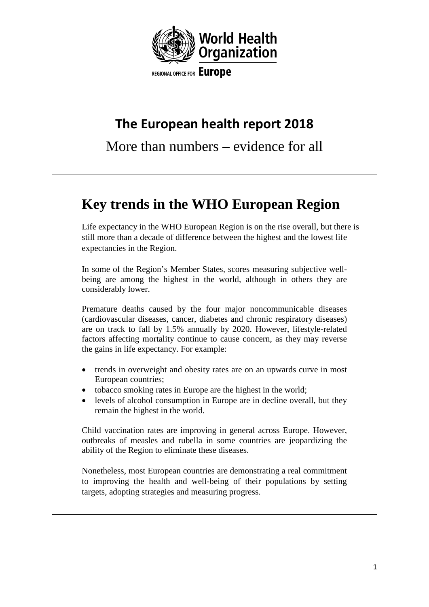

# **The European health report 2018**

More than numbers – evidence for all

# **Key trends in the WHO European Region**

Life expectancy in the WHO European Region is on the rise overall, but there is still more than a decade of difference between the highest and the lowest life expectancies in the Region.

In some of the Region's Member States, scores measuring subjective wellbeing are among the highest in the world, although in others they are considerably lower.

Premature deaths caused by the four major noncommunicable diseases (cardiovascular diseases, cancer, diabetes and chronic respiratory diseases) are on track to fall by 1.5% annually by 2020. However, lifestyle-related factors affecting mortality continue to cause concern, as they may reverse the gains in life expectancy. For example:

- trends in overweight and obesity rates are on an upwards curve in most European countries;
- tobacco smoking rates in Europe are the highest in the world;
- levels of alcohol consumption in Europe are in decline overall, but they remain the highest in the world.

Child vaccination rates are improving in general across Europe. However, outbreaks of measles and rubella in some countries are jeopardizing the ability of the Region to eliminate these diseases.

Nonetheless, most European countries are demonstrating a real commitment to improving the health and well-being of their populations by setting targets, adopting strategies and measuring progress.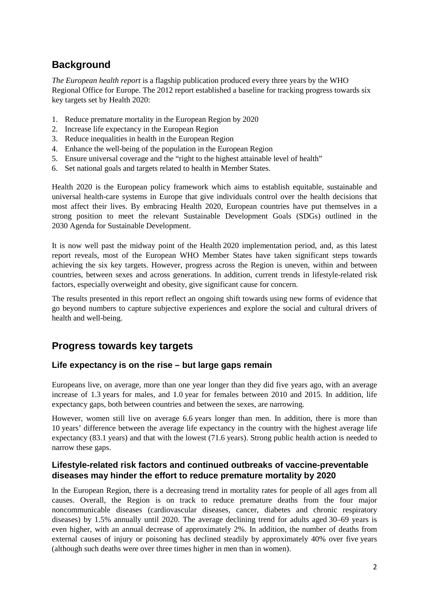## **Background**

*The European health report* is a flagship publication produced every three years by the WHO Regional Office for Europe. The 2012 report established a baseline for tracking progress towards six key targets set by Health 2020:

- 1. Reduce premature mortality in the European Region by 2020
- 2. Increase life expectancy in the European Region
- 3. Reduce inequalities in health in the European Region
- 4. Enhance the well-being of the population in the European Region
- 5. Ensure universal coverage and the "right to the highest attainable level of health"
- 6. Set national goals and targets related to health in Member States.

Health 2020 is the European policy framework which aims to establish equitable, sustainable and universal health-care systems in Europe that give individuals control over the health decisions that most affect their lives. By embracing Health 2020, European countries have put themselves in a strong position to meet the relevant Sustainable Development Goals (SDGs) outlined in the 2030 Agenda for Sustainable Development.

It is now well past the midway point of the Health 2020 implementation period, and, as this latest report reveals, most of the European WHO Member States have taken significant steps towards achieving the six key targets. However, progress across the Region is uneven, within and between countries, between sexes and across generations. In addition, current trends in lifestyle-related risk factors, especially overweight and obesity, give significant cause for concern.

The results presented in this report reflect an ongoing shift towards using new forms of evidence that go beyond numbers to capture subjective experiences and explore the social and cultural drivers of health and well-being.

### **Progress towards key targets**

#### **Life expectancy is on the rise – but large gaps remain**

Europeans live, on average, more than one year longer than they did five years ago, with an average increase of 1.3 years for males, and 1.0 year for females between 2010 and 2015. In addition, life expectancy gaps, both between countries and between the sexes, are narrowing.

However, women still live on average 6.6 years longer than men. In addition, there is more than 10 years' difference between the average life expectancy in the country with the highest average life expectancy (83.1 years) and that with the lowest (71.6 years). Strong public health action is needed to narrow these gaps.

#### **Lifestyle-related risk factors and continued outbreaks of vaccine-preventable diseases may hinder the effort to reduce premature mortality by 2020**

In the European Region, there is a decreasing trend in mortality rates for people of all ages from all causes. Overall, the Region is on track to reduce premature deaths from the four major noncommunicable diseases (cardiovascular diseases, cancer, diabetes and chronic respiratory diseases) by 1.5% annually until 2020. The average declining trend for adults aged 30–69 years is even higher, with an annual decrease of approximately 2%. In addition, the number of deaths from external causes of injury or poisoning has declined steadily by approximately 40% over five years (although such deaths were over three times higher in men than in women).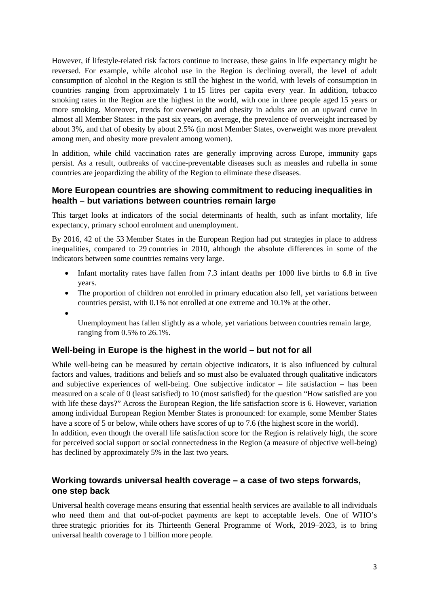However, if lifestyle-related risk factors continue to increase, these gains in life expectancy might be reversed. For example, while alcohol use in the Region is declining overall, the level of adult consumption of alcohol in the Region is still the highest in the world, with levels of consumption in countries ranging from approximately 1 to 15 litres per capita every year. In addition, tobacco smoking rates in the Region are the highest in the world, with one in three people aged 15 years or more smoking. Moreover, trends for overweight and obesity in adults are on an upward curve in almost all Member States: in the past six years, on average, the prevalence of overweight increased by about 3%, and that of obesity by about 2.5% (in most Member States, overweight was more prevalent among men, and obesity more prevalent among women).

In addition, while child vaccination rates are generally improving across Europe, immunity gaps persist. As a result, outbreaks of vaccine-preventable diseases such as measles and rubella in some countries are jeopardizing the ability of the Region to eliminate these diseases.

#### **More European countries are showing commitment to reducing inequalities in health – but variations between countries remain large**

This target looks at indicators of the social determinants of health, such as infant mortality, life expectancy, primary school enrolment and unemployment.

By 2016, 42 of the 53 Member States in the European Region had put strategies in place to address inequalities, compared to 29 countries in 2010, although the absolute differences in some of the indicators between some countries remains very large.

- Infant mortality rates have fallen from 7.3 infant deaths per 1000 live births to 6.8 in five years.
- The proportion of children not enrolled in primary education also fell, yet variations between countries persist, with 0.1% not enrolled at one extreme and 10.1% at the other.
- •

Unemployment has fallen slightly as a whole, yet variations between countries remain large, ranging from 0.5% to 26.1%.

#### **Well-being in Europe is the highest in the world – but not for all**

has declined by approximately 5% in the last two years.

While well-being can be measured by certain objective indicators, it is also influenced by cultural factors and values, traditions and beliefs and so must also be evaluated through qualitative indicators and subjective experiences of well-being. One subjective indicator – life satisfaction – has been measured on a scale of 0 (least satisfied) to 10 (most satisfied) for the question "How satisfied are you with life these days?" Across the European Region, the life satisfaction score is 6. However, variation among individual European Region Member States is pronounced: for example, some Member States have a score of 5 or below, while others have scores of up to 7.6 (the highest score in the world). In addition, even though the overall life satisfaction score for the Region is relatively high, the score for perceived social support or social connectedness in the Region (a measure of objective well-being)

#### **Working towards universal health coverage – a case of two steps forwards, one step back**

Universal health coverage means ensuring that essential health services are available to all individuals who need them and that out-of-pocket payments are kept to acceptable levels. One of WHO's three strategic priorities for its Thirteenth General Programme of Work, 2019–2023, is to bring universal health coverage to 1 billion more people.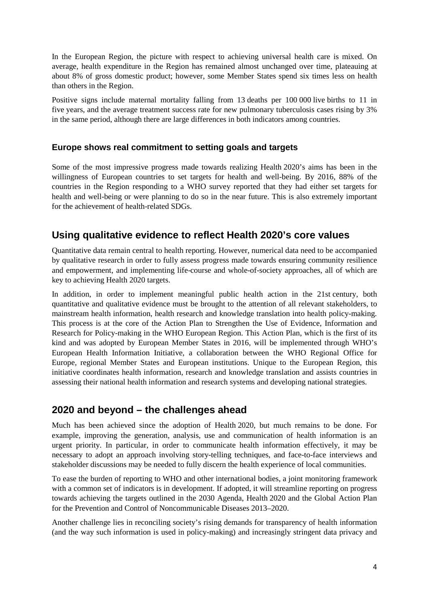In the European Region, the picture with respect to achieving universal health care is mixed. On average, health expenditure in the Region has remained almost unchanged over time, plateauing at about 8% of gross domestic product; however, some Member States spend six times less on health than others in the Region.

Positive signs include maternal mortality falling from 13 deaths per 100 000 live births to 11 in five years, and the average treatment success rate for new pulmonary tuberculosis cases rising by 3% in the same period, although there are large differences in both indicators among countries.

#### **Europe shows real commitment to setting goals and targets**

Some of the most impressive progress made towards realizing Health 2020's aims has been in the willingness of European countries to set targets for health and well-being. By 2016, 88% of the countries in the Region responding to a WHO survey reported that they had either set targets for health and well-being or were planning to do so in the near future. This is also extremely important for the achievement of health-related SDGs.

## **Using qualitative evidence to reflect Health 2020's core values**

Quantitative data remain central to health reporting. However, numerical data need to be accompanied by qualitative research in order to fully assess progress made towards ensuring community resilience and empowerment, and implementing life-course and whole-of-society approaches, all of which are key to achieving Health 2020 targets.

In addition, in order to implement meaningful public health action in the 21st century, both quantitative and qualitative evidence must be brought to the attention of all relevant stakeholders, to mainstream health information, health research and knowledge translation into health policy-making. This process is at the core of the Action Plan to Strengthen the Use of Evidence, Information and Research for Policy-making in the WHO European Region. This Action Plan, which is the first of its kind and was adopted by European Member States in 2016, will be implemented through WHO's European Health Information Initiative, a collaboration between the WHO Regional Office for Europe, regional Member States and European institutions. Unique to the European Region, this initiative coordinates health information, research and knowledge translation and assists countries in assessing their national health information and research systems and developing national strategies.

### **2020 and beyond – the challenges ahead**

Much has been achieved since the adoption of Health 2020, but much remains to be done. For example, improving the generation, analysis, use and communication of health information is an urgent priority. In particular, in order to communicate health information effectively, it may be necessary to adopt an approach involving story-telling techniques, and face-to-face interviews and stakeholder discussions may be needed to fully discern the health experience of local communities.

To ease the burden of reporting to WHO and other international bodies, a joint monitoring framework with a common set of indicators is in development. If adopted, it will streamline reporting on progress towards achieving the targets outlined in the 2030 Agenda, Health 2020 and the Global Action Plan for the Prevention and Control of Noncommunicable Diseases 2013–2020.

Another challenge lies in reconciling society's rising demands for transparency of health information (and the way such information is used in policy-making) and increasingly stringent data privacy and